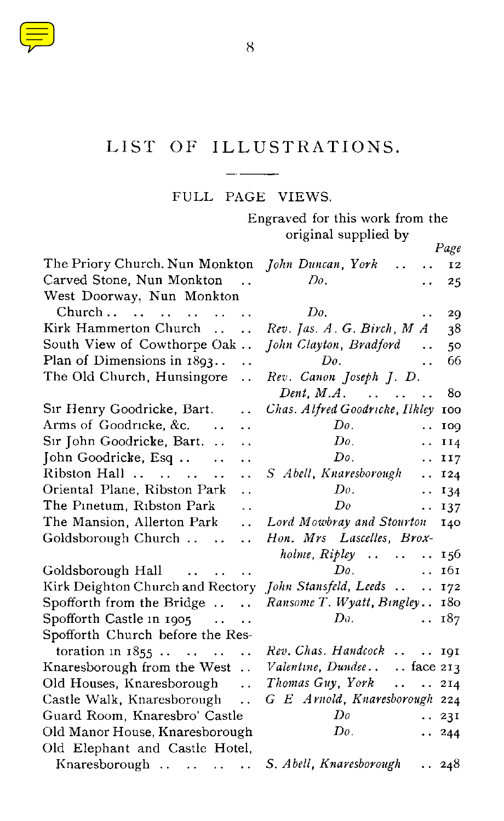

## LIST OF ILLUSTRATIONS.

## FULL PAGE VIEWS.

Engraved for this work from the original supplied by

|                                                              | Page                                                 |
|--------------------------------------------------------------|------------------------------------------------------|
| The Priory Church. Nun Monkton John Duncan, York             | $\ddot{\phantom{a}}$<br>12                           |
| Carved Stone, Nun Monkton<br>$\overline{\phantom{a}}$        | Do.<br>25                                            |
| West Doorway, Nun Monkton                                    |                                                      |
| $\ddot{\phantom{a}}$                                         | Do.<br>29                                            |
| Kirk Hammerton Church<br>$\ddot{\phantom{0}}$                | $Rev.$ Jas. $A.$ G. Birch, $M A$<br>38               |
| South View of Cowthorpe Oak                                  | John Clayton, Bradford<br>$\ddot{\phantom{a}}$<br>50 |
| Plan of Dimensions in $1893$<br>$\ddot{\phantom{0}}$         | Do.<br>66<br>$\ddot{\phantom{a}}$                    |
| The Old Church, Hunsingore<br>$\ddot{\phantom{a}}$           | Rev. Canon Joseph J. D.                              |
|                                                              | Dent, $M.A.$<br>80                                   |
| Sir Henry Goodricke, Bart.<br>. .                            | Chas. Alfred Goodricke, Ilkley 100                   |
| Arms of Goodricke, &c.<br>. .                                | Do.<br>IOQ<br>. .                                    |
| Sır John Goodricke, Bart.<br>. .                             | Do.<br>II4<br>. .                                    |
| John Goodricke, Esq<br>$\ddotsc$<br>. .                      | Do.<br>II7<br>$\ddot{\phantom{0}}$                   |
| Ribston Hall<br>$\ddot{\phantom{a}}$<br>$\ddot{\phantom{0}}$ | S Abell, Knaresborough<br>$\ddotsc$<br>I24           |
| Oriental Plane, Ribston Park<br>. .                          | Do.<br>$\cdots$ 134                                  |
| The Pinetum, Ribston Park<br>. .                             | Do<br>137<br>$\ddotsc$                               |
| The Mansion, Allerton Park<br>$\ddot{\phantom{a}}$           | Lord Mowbray and Stourton<br>140                     |
| Goldsborough Church<br>$\sim$ .<br>$\ddot{\phantom{0}}$      | Hon. Mrs Lascelles, Brox-                            |
|                                                              | holme, $Ripley$ $156$                                |
| Goldsborough Hall                                            | Do.<br>161<br>$\mathbf{r}$ .                         |
| Kirk Deighton Church and Rectory John Stansfeld, Leeds       | 172                                                  |
| Spofforth from the Bridge $\dots$ .                          | Ransome T. Wyatt, Bingley 180                        |
| Spofforth Castle in 1905<br>$\sim$ $\sim$                    | 187<br>Do.<br>$\ddotsc$                              |
| Spofforth Church before the Res-                             |                                                      |
| toration in $1855$                                           | Rev. Chas. Handcock   191                            |
| Knaresborough from the West                                  | Valentine, Dundeeface 213                            |
| Old Houses, Knaresborough<br>$\ddot{\phantom{0}}$            | Thomas Guy, York  214                                |
| Castle Walk, Knaresborough                                   | G E Arnold, Knaresborough 224                        |
| Guard Room, Knaresbro' Castle                                | Do<br>. 231                                          |
| Old Manor House, Knaresborough                               | Do.<br>$\cdots$ 244                                  |
| Old Elephant and Castle Hotel,                               |                                                      |
| Knaresborough $\ldots$ $\ldots$ $\ldots$                     | S. Abell, Knaresborough<br>. 248                     |

8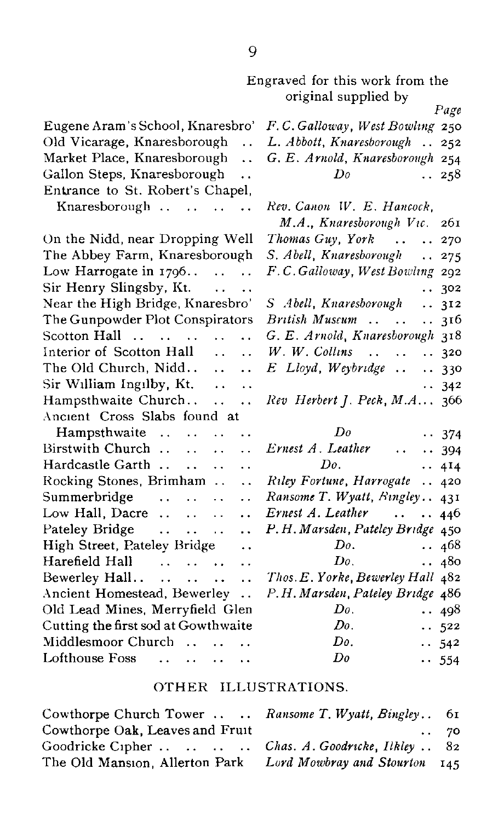|                                                                     | Engraved for this work from the<br>original supplied by | Page         |
|---------------------------------------------------------------------|---------------------------------------------------------|--------------|
| Eugene Aram's School, Knaresbro'                                    | F.C. Galloway, West Bowling 250                         |              |
| Old Vicarage, Knaresborough<br>$\ddot{\phantom{a}}$                 | L. Abbott, Knaresborough<br>$\ddotsc$                   | 252          |
| Market Place, Knaresborough<br>$\ddotsc$                            | G. E. Arnold, Knaresborough 254                         |              |
| Gallon Steps, Knaresborough<br>$\ddot{\phantom{a}}$                 | Dο                                                      | 258          |
| Entrance to St. Robert's Chapel,                                    |                                                         |              |
| Knaresborough                                                       | Rev. Canon W. E. Hancock,                               |              |
|                                                                     | M.A., Knaresborough Vic.                                | 261          |
| On the Nidd, near Dropping Well                                     | Thomas Guy, York<br>$\ddotsc$                           | 270          |
| The Abbey Farm, Knaresborough                                       | S. Abell, Knaresborough<br>$\ddot{\phantom{a}}$         | 275          |
| Low Harrogate in $1796$                                             | F.C.Galloway, West Bowling 292                          |              |
| Sir Henry Slingsby, Kt.<br>$\ddot{\phantom{0}}$                     |                                                         | . 302        |
| Near the High Bridge, Knaresbro'                                    | S Abell Knaresborough                                   | . 312        |
| The Gunpowder Plot Conspirators                                     | British Muscum                                          | 316          |
| Scotton Hall<br>$\mathbf{1}$ , $\mathbf{1}$<br>$\ddot{\phantom{a}}$ | G. E. Arnold, Knaresborough 318                         |              |
| Interior of Scotton Hall<br>$\sim$<br>$\ddotsc$                     | $W$ . $W$ . Collins                                     | . 320        |
| The Old Church, Nidd<br>$\mathbf{L}$<br>$\ddot{\phantom{a}}$        | E Lloyd, Weybridge                                      | . 330        |
| $Sir$ William Ingilby, Kt. $\ldots$<br>$\ddot{\phantom{0}}$         |                                                         | $\cdots$ 342 |
| Hampsthwaite Church<br>$\ddotsc$                                    | Rev Herbert J. Peck, M.A 366                            |              |
| Ancient Cross Slabs found at                                        |                                                         |              |
| Hampsthwaite<br><b>Contractor</b><br>$\ddot{\phantom{0}}$           | Do                                                      | $\cdots$ 374 |
| Birstwith Church<br>$\ddot{\phantom{a}}$                            | Ernest A. Leather<br>$\cdots$                           | $\cdots$ 394 |
| Hardcastle Garth<br>$\ddot{\phantom{a}}$<br>$\ddot{\phantom{a}}$    | Do.                                                     | . . 4I4      |
| Rocking Stones, Brimham<br>$\sim$ $\sim$<br>$\ddot{\phantom{0}}$    | Riley Fortune, Harrogate                                | . 420        |
| Summerbridge<br>$\ddot{\phantom{0}}$<br>$\ddot{\phantom{0}}$        | Ransome T. Wyatt, Bingley 431                           |              |
| Low Hall, Dacre $\dots$ $\dots$<br>$\ddot{\phantom{a}}$             | Ernest A. Leather                                       | $\cdots$ 446 |
| Pateley Bridge<br>$\ddot{\phantom{a}}$<br>$\sim$                    | P.H. Marsden, Pateley Bridge 450                        |              |
| High Street, Pateley Bridge<br>$\ddot{\phantom{0}}$                 | Do.                                                     | 468          |
| Harefield Hall<br>. .                                               | Do.<br>$\ddotsc$                                        | 480          |
| Bewerley Hall<br>$\ddot{\phantom{a}}$                               | Thos. E. Yorke, Bewerley Hall 482                       |              |
| Ancient Homestead, Bewerley<br>$\ddot{\phantom{a}}$                 | P.H. Marsden, Pateley Bridge 486                        |              |
| Old Lead Mines, Merryfield Glen                                     | Do.                                                     | 498          |
| Cutting the first sod at Gowthwaite                                 | Do.                                                     | .522         |
| Middlesmoor Church<br>$\mathbf{1}$ $\mathbf{1}$                     | Do.                                                     | $\cdots$ 542 |
| Lofthouse Foss<br>$\cdots$<br>$\sim$<br>$\ddot{\phantom{0}}$        | $_{Do}$                                                 | $-554$       |
|                                                                     |                                                         |              |

## OTHER ILLUSTRATIONS.

| Cowthorpe Church Tower  Ransome T. Wyatt, Bingley 61         |            |
|--------------------------------------------------------------|------------|
| Cowthorpe Oak, Leaves and Fruit                              | $\cdot$ 70 |
| Goodricke Cipher Chas. A. Goodricke, Ilkley  82              |            |
| The Old Mansion, Allerton Park Lord Mowbray and Stourton 145 |            |